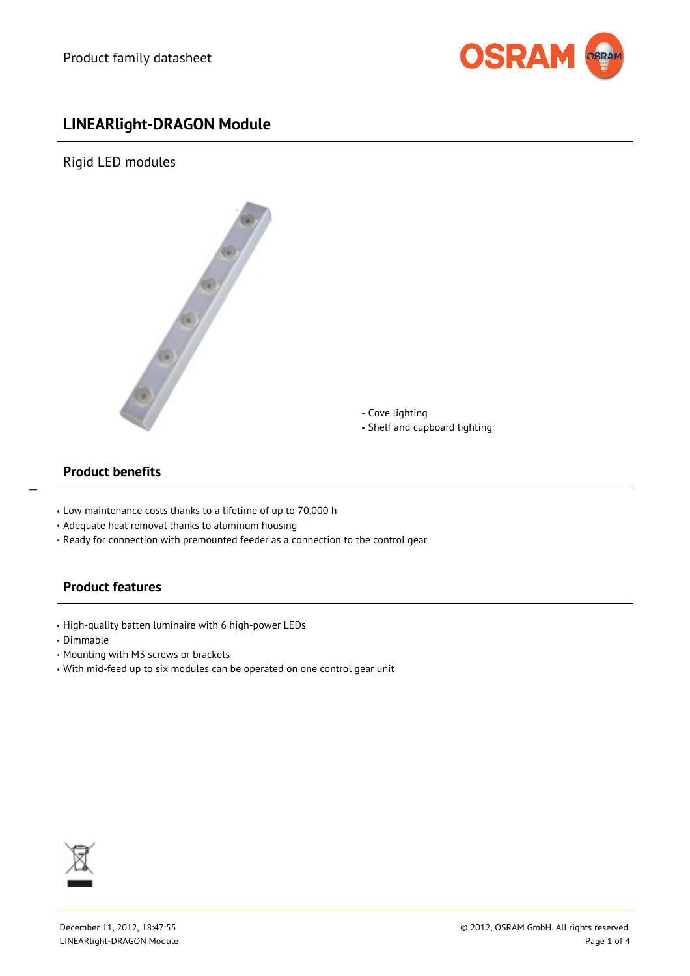

# **LINEARlight-DRAGON Module**

Rigid LED modules



Cove lighting Shelf and cupboard lighting

## **Product benefits**

 $\overline{a}$ 

- Low maintenance costs thanks to a lifetime of up to 70,000 h
- Adequate heat removal thanks to aluminum housing
- Ready for connection with premounted feeder as a connection to the control gear

# **Product features**

- High-quality batten luminaire with 6 high-power LEDs
- Dimmable
- Mounting with M3 screws or brackets
- With mid-feed up to six modules can be operated on one control gear unit

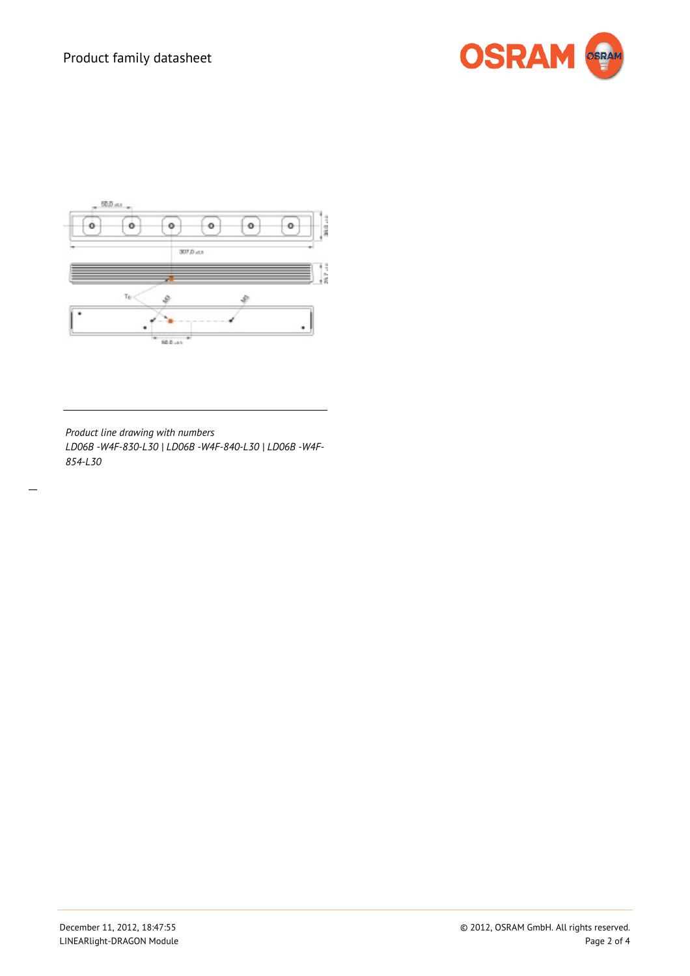



*Product line drawing with numbers LD06B -W4F-830-L30 | LD06B -W4F-840-L30 | LD06B -W4F-854-L30*

 $\overline{a}$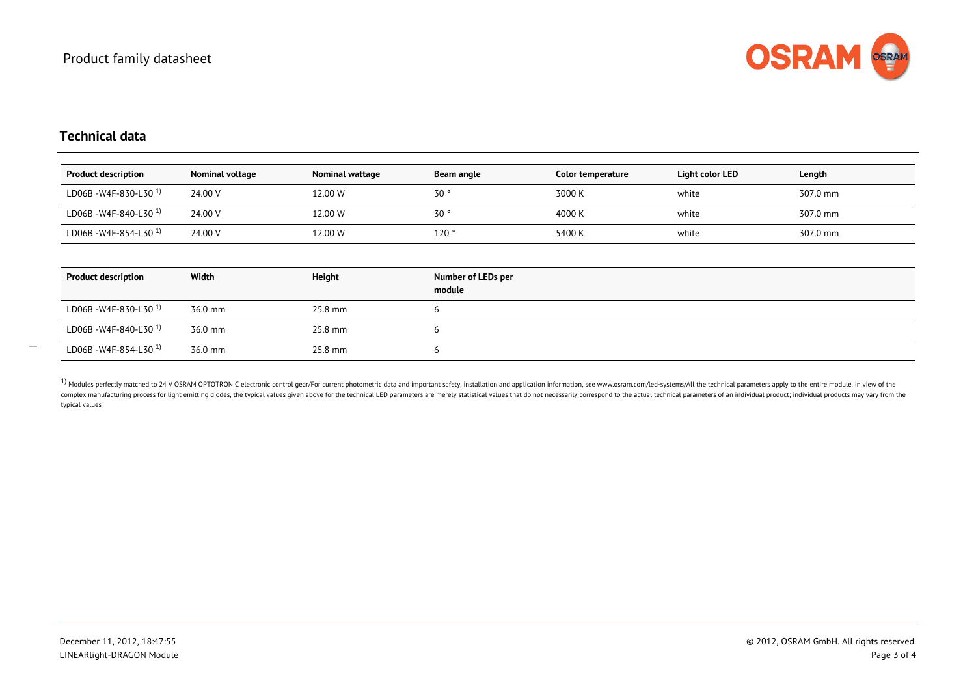

#### **Technical data**

| <b>Product description</b>       | Nominal voltage | Nominal wattage | Beam angle                   | Color temperature | Light color LED | Length   |
|----------------------------------|-----------------|-----------------|------------------------------|-------------------|-----------------|----------|
| LD06B - W4F-830-L30 $^{1}$ )     | 24.00 V         | 12.00 W         | 30 <sup>o</sup>              | 3000 K            | white           | 307.0 mm |
| LD06B-W4F-840-L30 <sup>1</sup>   | 24.00 V         | 12.00 W         | 30 <sup>o</sup>              | 4000 K            | white           | 307.0 mm |
| LD06B - W4F-854-L30 <sup>1</sup> | 24.00 V         | 12.00 W         | 120°                         | 5400 K            | white           | 307.0 mm |
|                                  |                 |                 |                              |                   |                 |          |
| <b>Product description</b>       | Width           | Height          | Number of LEDs per<br>module |                   |                 |          |
| LD06B-W4F-830-L30 <sup>1</sup>   | 36.0 mm         | 25.8 mm         | 6                            |                   |                 |          |
| LD06B-W4F-840-L30 <sup>1</sup>   | 36.0 mm         | 25.8 mm         | 6                            |                   |                 |          |
| LD06B - W4F-854-L30 $^{1}$ )     | 36.0 mm         | 25.8 mm         | 6                            |                   |                 |          |

<sup>1)</sup> Modules perfectly matched to 24 V OSRAM OPTOTRONIC electronic control gear/For current photometric data and important safety, installation and application information, see www.osram.com/led-systems/All the technical p complex manufacturing process for light emitting diodes, the typical values given above for the technical LED parameters are merely statistical values that do not necessarily correspond to the actual technical parameters o typical values